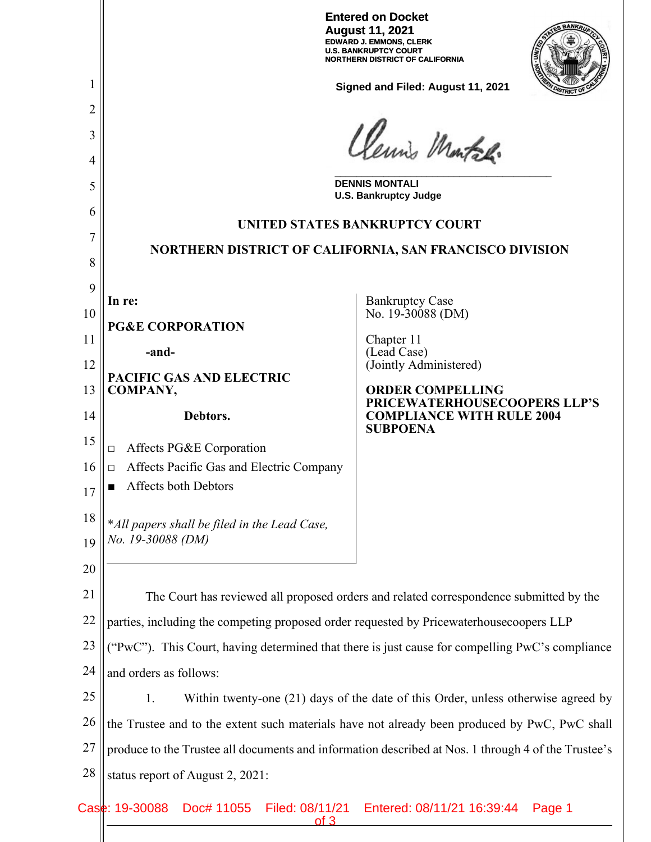|                |                                                                                                     | <b>Entered on Docket</b><br><b>August 11, 2021</b><br><b>EDWARD J. EMMONS, CLERK</b><br><b>U.S. BANKRUPTCY COURT</b><br><b>NORTHERN DISTRICT OF CALIFORNIA</b> |  |  |
|----------------|-----------------------------------------------------------------------------------------------------|----------------------------------------------------------------------------------------------------------------------------------------------------------------|--|--|
| I              | Signed and Filed: August 11, 2021                                                                   |                                                                                                                                                                |  |  |
| $\overline{2}$ |                                                                                                     |                                                                                                                                                                |  |  |
| 3              | Clemis Montal.                                                                                      |                                                                                                                                                                |  |  |
| 4              |                                                                                                     |                                                                                                                                                                |  |  |
| 5              | <b>DENNIS MONTALI</b><br><b>U.S. Bankruptcy Judge</b>                                               |                                                                                                                                                                |  |  |
| 6<br>7         | UNITED STATES BANKRUPTCY COURT                                                                      |                                                                                                                                                                |  |  |
| 8              | NORTHERN DISTRICT OF CALIFORNIA, SAN FRANCISCO DIVISION                                             |                                                                                                                                                                |  |  |
| 9              |                                                                                                     |                                                                                                                                                                |  |  |
| 10             | In re:                                                                                              | <b>Bankruptcy Case</b><br>No. 19-30088 (DM)                                                                                                                    |  |  |
| 11             | <b>PG&amp;E CORPORATION</b>                                                                         | Chapter 11                                                                                                                                                     |  |  |
| 12             | -and-                                                                                               | (Lead Case)<br>(Jointly Administered)                                                                                                                          |  |  |
| 13             | PACIFIC GAS AND ELECTRIC<br><b>COMPANY,</b>                                                         | <b>ORDER COMPELLING</b>                                                                                                                                        |  |  |
| 14             | Debtors.                                                                                            | PRICEWATERHOUSECOOPERS LLP'S<br><b>COMPLIANCE WITH RULE 2004</b>                                                                                               |  |  |
| 15             | Affects PG&E Corporation<br>$\Box$                                                                  | <b>SUBPOENA</b>                                                                                                                                                |  |  |
| 16             | Affects Pacific Gas and Electric Company<br>$\Box$                                                  |                                                                                                                                                                |  |  |
| 17             | Affects both Debtors                                                                                |                                                                                                                                                                |  |  |
| 18             | *All papers shall be filed in the Lead Case,                                                        |                                                                                                                                                                |  |  |
| 19             | No. 19-30088 (DM)                                                                                   |                                                                                                                                                                |  |  |
| 20             |                                                                                                     |                                                                                                                                                                |  |  |
| 21             | The Court has reviewed all proposed orders and related correspondence submitted by the              |                                                                                                                                                                |  |  |
| 22             | parties, including the competing proposed order requested by Pricewaterhousecoopers LLP             |                                                                                                                                                                |  |  |
| 23             | ("PwC"). This Court, having determined that there is just cause for compelling PwC's compliance     |                                                                                                                                                                |  |  |
| 24             | and orders as follows:                                                                              |                                                                                                                                                                |  |  |
| 25             | Within twenty-one (21) days of the date of this Order, unless otherwise agreed by<br>1.             |                                                                                                                                                                |  |  |
| 26             | the Trustee and to the extent such materials have not already been produced by PwC, PwC shall       |                                                                                                                                                                |  |  |
| 27             | produce to the Trustee all documents and information described at Nos. 1 through 4 of the Trustee's |                                                                                                                                                                |  |  |
| 28             | status report of August 2, 2021:                                                                    |                                                                                                                                                                |  |  |
|                | Case: 19-30088<br>Doc# 11055<br>Filed: 08/11/21<br>of 3                                             | Entered: 08/11/21 16:39:44<br>Page 1                                                                                                                           |  |  |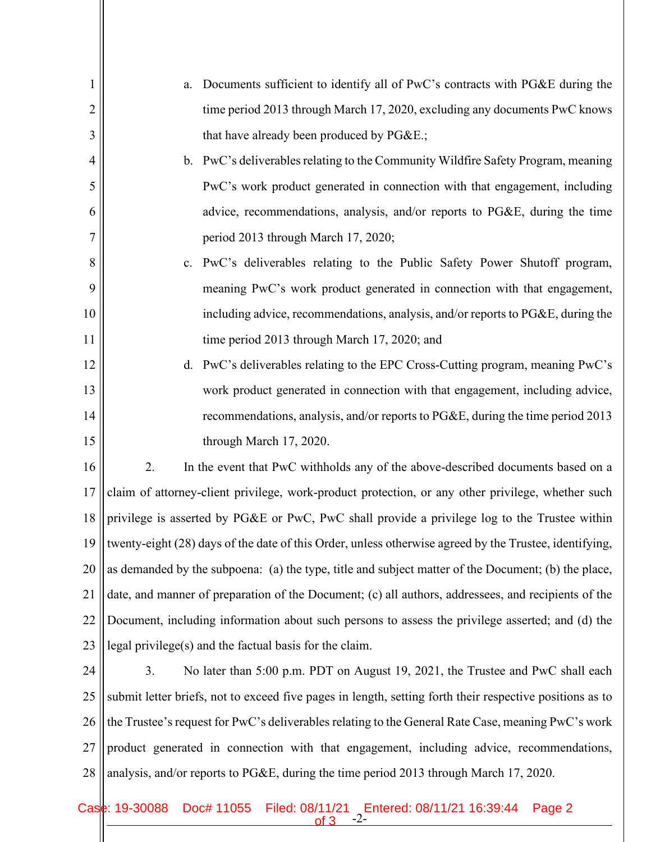| 1              | Documents sufficient to identify all of PwC's contracts with PG&E during the<br>a.                       |  |  |  |  |
|----------------|----------------------------------------------------------------------------------------------------------|--|--|--|--|
| $\overline{2}$ | time period 2013 through March 17, 2020, excluding any documents PwC knows                               |  |  |  |  |
| 3              | that have already been produced by PG&E.                                                                 |  |  |  |  |
| 4              | PwC's deliverables relating to the Community Wildfire Safety Program, meaning<br>$\mathbf{b}$ .          |  |  |  |  |
| 5              | PwC's work product generated in connection with that engagement, including                               |  |  |  |  |
| 6              | advice, recommendations, analysis, and/or reports to PG&E, during the time                               |  |  |  |  |
| 7              | period 2013 through March 17, 2020;                                                                      |  |  |  |  |
| 8              | PwC's deliverables relating to the Public Safety Power Shutoff program,<br>c.                            |  |  |  |  |
| 9              | meaning PwC's work product generated in connection with that engagement,                                 |  |  |  |  |
| 10             | including advice, recommendations, analysis, and/or reports to PG&E, during the                          |  |  |  |  |
| 11             | time period 2013 through March 17, 2020; and                                                             |  |  |  |  |
| 12             | PwC's deliverables relating to the EPC Cross-Cutting program, meaning PwC's<br>d.                        |  |  |  |  |
| 13             | work product generated in connection with that engagement, including advice,                             |  |  |  |  |
| 14             | recommendations, analysis, and/or reports to PG&E, during the time period 2013                           |  |  |  |  |
| 15             | through March 17, 2020.                                                                                  |  |  |  |  |
| 16             | 2.<br>In the event that PwC withholds any of the above-described documents based on a                    |  |  |  |  |
| 17             | claim of attorney-client privilege, work-product protection, or any other privilege, whether such        |  |  |  |  |
| 18             | privilege is asserted by PG&E or PwC, PwC shall provide a privilege log to the Trustee within            |  |  |  |  |
| 19             | twenty-eight (28) days of the date of this Order, unless otherwise agreed by the Trustee, identifying,   |  |  |  |  |
| 20             | as demanded by the subpoena: (a) the type, title and subject matter of the Document; (b) the place,      |  |  |  |  |
| 21             | date, and manner of preparation of the Document; (c) all authors, addressees, and recipients of the      |  |  |  |  |
| 22             | Document, including information about such persons to assess the privilege asserted; and (d) the         |  |  |  |  |
| 23             | legal privilege(s) and the factual basis for the claim.                                                  |  |  |  |  |
| 24             | No later than 5:00 p.m. PDT on August 19, 2021, the Trustee and PwC shall each<br>3.                     |  |  |  |  |
| 25             | submit letter briefs, not to exceed five pages in length, setting forth their respective positions as to |  |  |  |  |
| 26             | the Trustee's request for PwC's deliverables relating to the General Rate Case, meaning PwC's work       |  |  |  |  |
| 27             | product generated in connection with that engagement, including advice, recommendations,                 |  |  |  |  |
| 28             | analysis, and/or reports to PG&E, during the time period 2013 through March 17, 2020.                    |  |  |  |  |

## -2- Case: 19-30088 Doc# 11055 Filed: 08/11/21 Entered: 08/11/21 16:39:44 Page 2 of 3